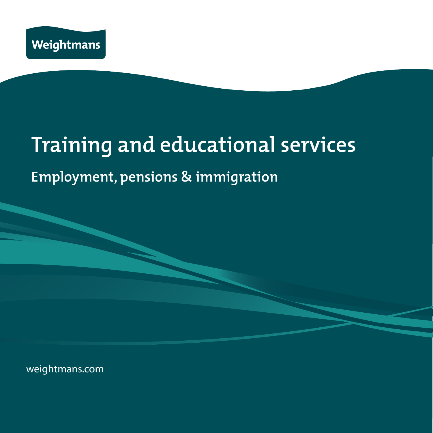

# **Training and educational services**

## **Employment, pensions & immigration**

weightmans.com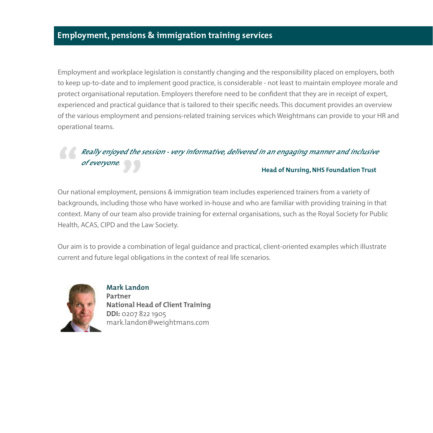Employment and workplace legislation is constantly changing and the responsibility placed on employers, both to keep up-to-date and to implement good practice, is considerable - not least to maintain employee morale and protect organisational reputation. Employers therefore need to be confident that they are in receipt of expert, experienced and practical guidance that is tailored to their specific needs. This document provides an overview of the various employment and pensions-related training services which Weightmans can provide to your HR and operational teams.

#### **Really enjoyed the session - very informative, delivered in an engaging manner and inclusive of everyone. Head of Nursing, NHS Foundation Trust**

## Our national employment, pensions & immigration team includes experienced trainers from a variety of backgrounds, including those who have worked in-house and who are familiar with providing training in that context. Many of our team also provide training for external organisations, such as the Royal Society for Public Health, ACAS, CIPD and the Law Society.

Our aim is to provide a combination of legal guidance and practical, client-oriented examples which illustrate current and future legal obligations in the context of real life scenarios.



**Mark Landon Partner National Head of Client Training DDI:** 0207 822 1905 mark.landon@weightmans.com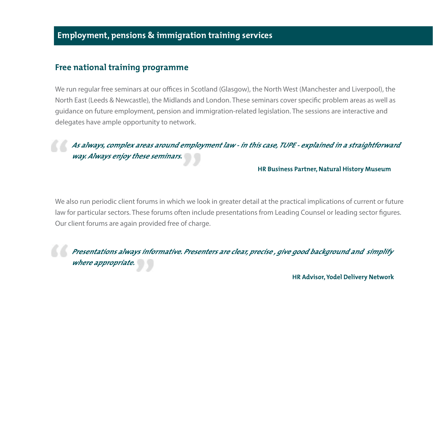## **Free national training programme**

We run regular free seminars at our offices in Scotland (Glasgow), the North West (Manchester and Liverpool), the North East (Leeds & Newcastle), the Midlands and London. These seminars cover specific problem areas as well as guidance on future employment, pension and immigration-related legislation. The sessions are interactive and delegates have ample opportunity to network.

## **As always, complex areas around employment law - in this case, TUPE - explained in a straightforward way. Always enjoy these seminars.**

#### **HR Business Partner, Natural History Museum**

We also run periodic client forums in which we look in greater detail at the practical implications of current or future law for particular sectors. These forums often include presentations from Leading Counsel or leading sector figures. Our client forums are again provided free of charge.

**Presentations always informative. Presenters are clear, precise , give good background and simplify where appropriate.**

**HR Advisor, Yodel Delivery Network**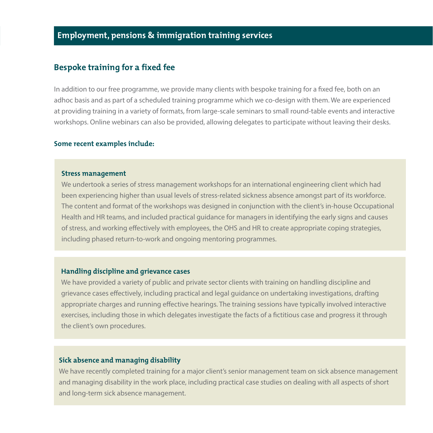### **Bespoke training for a fixed fee**

In addition to our free programme, we provide many clients with bespoke training for a fixed fee, both on an adhoc basis and as part of a scheduled training programme which we co-design with them. We are experienced at providing training in a variety of formats, from large-scale seminars to small round-table events and interactive workshops. Online webinars can also be provided, allowing delegates to participate without leaving their desks.

#### **Some recent examples include:**

#### **Stress management**

We undertook a series of stress management workshops for an international engineering client which had been experiencing higher than usual levels of stress-related sickness absence amongst part of its workforce. The content and format of the workshops was designed in conjunction with the client's in-house Occupational Health and HR teams, and included practical guidance for managers in identifying the early signs and causes of stress, and working effectively with employees, the OHS and HR to create appropriate coping strategies, including phased return-to-work and ongoing mentoring programmes.

#### **Handling discipline and grievance cases**

We have provided a variety of public and private sector clients with training on handling discipline and grievance cases effectively, including practical and legal guidance on undertaking investigations, drafting appropriate charges and running effective hearings. The training sessions have typically involved interactive exercises, including those in which delegates investigate the facts of a fictitious case and progress it through the client's own procedures.

#### **Sick absence and managing disability**

We have recently completed training for a major client's senior management team on sick absence management and managing disability in the work place, including practical case studies on dealing with all aspects of short and long-term sick absence management.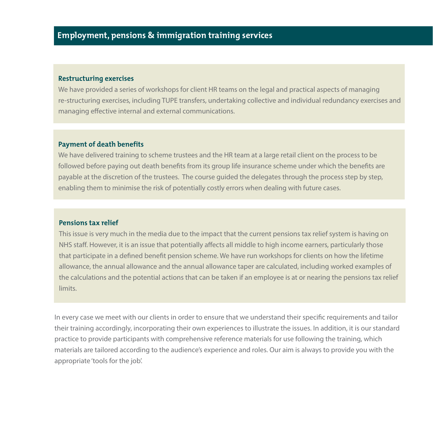#### **Restructuring exercises**

We have provided a series of workshops for client HR teams on the legal and practical aspects of managing re-structuring exercises, including TUPE transfers, undertaking collective and individual redundancy exercises and managing effective internal and external communications.

#### **Payment of death benefits**

We have delivered training to scheme trustees and the HR team at a large retail client on the process to be followed before paying out death benefits from its group life insurance scheme under which the benefits are payable at the discretion of the trustees. The course guided the delegates through the process step by step, enabling them to minimise the risk of potentially costly errors when dealing with future cases.

#### **Pensions tax relief**

This issue is very much in the media due to the impact that the current pensions tax relief system is having on NHS staff. However, it is an issue that potentially affects all middle to high income earners, particularly those that participate in a defined benefit pension scheme. We have run workshops for clients on how the lifetime allowance, the annual allowance and the annual allowance taper are calculated, including worked examples of the calculations and the potential actions that can be taken if an employee is at or nearing the pensions tax relief limits.

In every case we meet with our clients in order to ensure that we understand their specific requirements and tailor their training accordingly, incorporating their own experiences to illustrate the issues. In addition, it is our standard practice to provide participants with comprehensive reference materials for use following the training, which materials are tailored according to the audience's experience and roles. Our aim is always to provide you with the appropriate 'tools for the job'.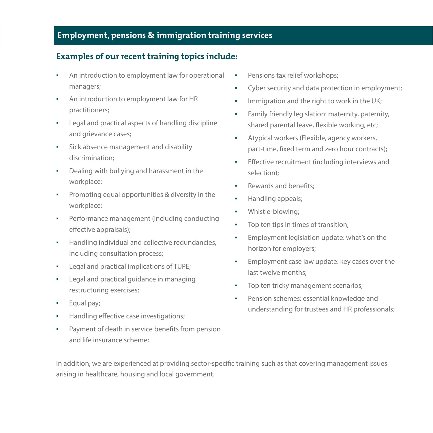## **Examples of our recent training topics include:**

- An introduction to employment law for operational managers;
- An introduction to employment law for HR practitioners;
- Legal and practical aspects of handling discipline and grievance cases;
- **•** Sick absence management and disability discrimination;
- Dealing with bullying and harassment in the workplace;
- Promoting equal opportunities & diversity in the workplace;
- Performance management (including conducting effective appraisals);
- Handling individual and collective redundancies, including consultation process;
- Legal and practical implications of TUPE;
- Legal and practical guidance in managing restructuring exercises;
- Equal pay;
- Handling effective case investigations;
- Payment of death in service benefits from pension and life insurance scheme;
- Pensions tax relief workshops;
- Cyber security and data protection in employment;
- Immigration and the right to work in the UK;
- **•** Family friendly legislation: maternity, paternity, shared parental leave, flexible working, etc;
- Atypical workers (Flexible, agency workers, part-time, fixed term and zero hour contracts);
- Effective recruitment (including interviews and selection);
- Rewards and benefits;
- Handling appeals;
- Whistle-blowing;
- Top ten tips in times of transition;
- **•** Employment legislation update: what's on the horizon for employers;
- **Employment case law update: key cases over the** last twelve months;
- **•** Top ten tricky management scenarios;
- Pension schemes: essential knowledge and understanding for trustees and HR professionals;

In addition, we are experienced at providing sector-specific training such as that covering management issues arising in healthcare, housing and local government.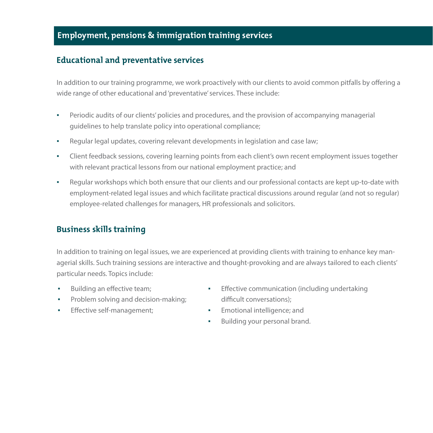## **Educational and preventative services**

In addition to our training programme, we work proactively with our clients to avoid common pitfalls by offering a wide range of other educational and 'preventative' services. These include:

- Periodic audits of our clients' policies and procedures, and the provision of accompanying managerial guidelines to help translate policy into operational compliance;
- Regular legal updates, covering relevant developments in legislation and case law;
- Client feedback sessions, covering learning points from each client's own recent employment issues together with relevant practical lessons from our national employment practice; and
- Regular workshops which both ensure that our clients and our professional contacts are kept up-to-date with employment-related legal issues and which facilitate practical discussions around regular (and not so regular) employee-related challenges for managers, HR professionals and solicitors.

## **Business skills training**

In addition to training on legal issues, we are experienced at providing clients with training to enhance key managerial skills. Such training sessions are interactive and thought-provoking and are always tailored to each clients' particular needs. Topics include:

- Building an effective team;
- **•** Problem solving and decision-making;
- **•** Effective self-management;
- Effective communication (including undertaking difficult conversations);
- Emotional intelligence; and
- Building your personal brand.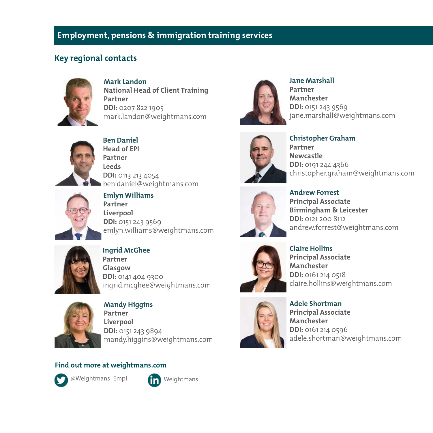## **Key regional contacts**



**Mark Landon National Head of Client Training Partner DDI:** 0207 822 1905 mark.landon@weightmans.com



**Ben Daniel Head of EPI Partner Leeds DDI:** 0113 213 4054 ben.daniel@weightmans.com



**Emlyn Williams Partner Liverpool DDI:** 0151 243 9569 emlyn.williams@weightmans.com



**Ingrid McGhee Partner Glasgow DDI:** 0141 404 9300 ingrid.mcghee@weightmans.com



**Mandy Higgins Partner Liverpool DDI:** 0151 243 9894 mandy.higgins@weightmans.com

#### **Find out more at weightmans.com**



@Weightmans\_Empl





**Jane Marshall Partner Manchester DDI:** 0151 243 9569 jane.marshall@weightmans.com



**Christopher Graham Partner Newcastle DDI:** 0191 244 4366 christopher.graham@weightmans.com



**Andrew Forrest Principal Associate Birmingham & Leicester DDI:** 0121 200 8112 andrew.forrest@weightmans.com



**Claire Hollins Principal Associate Manchester DDI:** 0161 214 0518 claire.hollins@weightmans.com



**Adele Shortman Principal Associate Manchester DDI:** 0161 214 0596 adele.shortman@weightmans.com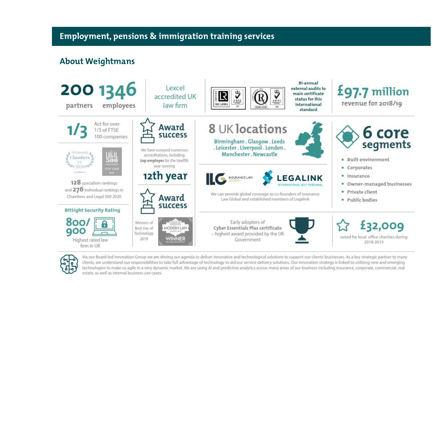## **About Weightmans**





Via our Board-led Innovation Group we are driving our agenda to deliver innovative and technological solutions to support our clients' businesses. As a key strategic partner to many clients, we understand our responsibilities to take full advantage of technology to aid our service delivery solutions. Our innovation strategy is linked to utilising new and emerging technologies to make us agile in a very dynamic market. We are using AI and predictive analytics across many areas of our business including insurance, corporate, commercial, real estate, as well as internal business use cases.